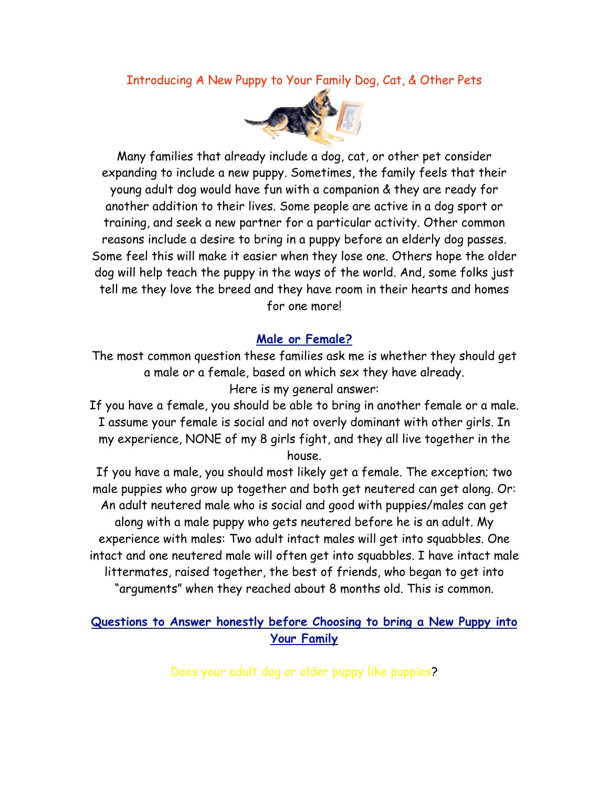Introducing A New Puppy to Your Family Dog, Cat, & Other Pets



Many families that already include a dog, cat, or other pet consider expanding to include a new puppy. Sometimes, the family feels that their young adult dog would have fun with a companion & they are ready for another addition to their lives. Some people are active in a dog sport or training, and seek a new partner for a particular activity. Other common reasons include a desire to bring in a puppy before an elderly dog passes. Some feel this will make it easier when they lose one. Others hope the older dog will help teach the puppy in the ways of the world. And, some folks just tell me they love the breed and they have room in their hearts and homes for one more!

## **Male or Female?**

The most common question these families ask me is whether they should get a male or a female, based on which sex they have already. Here is my general answer:

If you have a female, you should be able to bring in another female or a male. I assume your female is social and not overly dominant with other girls. In my experience, NONE of my 8 girls fight, and they all live together in the house.

If you have a male, you should most likely get a female. The exception; two male puppies who grow up together and both get neutered can get along. Or: An adult neutered male who is social and good with puppies/males can get along with a male puppy who gets neutered before he is an adult. My experience with males: Two adult intact males will get into squabbles. One intact and one neutered male will often get into squabbles. I have intact male littermates, raised together, the best of friends, who began to get into "arguments" when they reached about 8 months old. This is common.

# **Questions to Answer honestly before Choosing to bring a New Puppy into Your Family**

Does your adult dog or older puppy like puppies?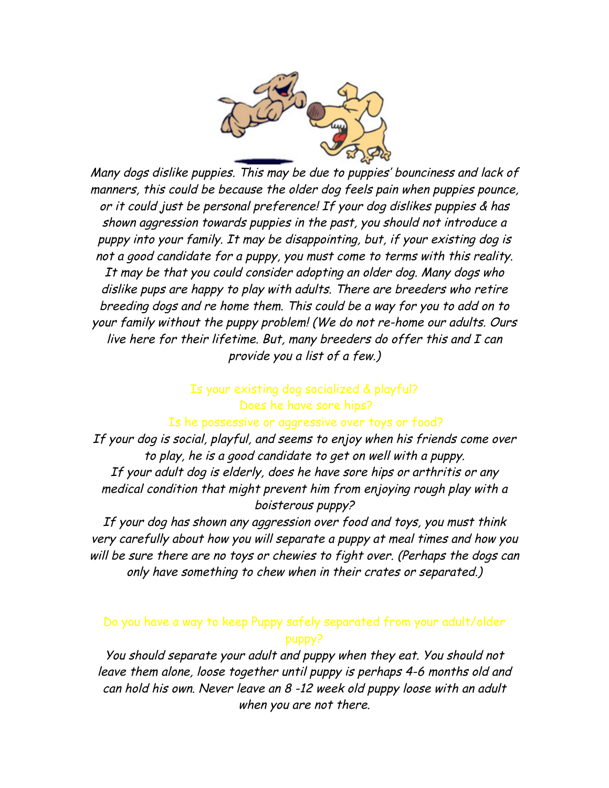

Many dogs dislike puppies. This may be due to puppies' bounciness and lack of manners, this could be because the older dog feels pain when puppies pounce, or it could just be personal preference! If your dog dislikes puppies & has shown aggression towards puppies in the past, you should not introduce a puppy into your family. It may be disappointing, but, if your existing dog is not a good candidate for a puppy, you must come to terms with this reality. It may be that you could consider adopting an older dog. Many dogs who dislike pups are happy to play with adults. There are breeders who retire breeding dogs and re home them. This could be a way for you to add on to your family without the puppy problem! (We do not re-home our adults. Ours live here for their lifetime. But, many breeders do offer this and I can provide you a list of a few.)

### Is your existing dog socialized & playful? Does he have sore hips?

#### Is he possessive or aggressive over toys or food?

If your dog is social, playful, and seems to enjoy when his friends come over to play, he is a good candidate to get on well with a puppy. If your adult dog is elderly, does he have sore hips or arthritis or any medical condition that might prevent him from enjoying rough play with a boisterous puppy?

If your dog has shown any aggression over food and toys, you must think very carefully about how you will separate a puppy at meal times and how you will be sure there are no toys or chewies to fight over. (Perhaps the dogs can only have something to chew when in their crates or separated.)

## Do you have a way to keep Puppy safely separated from your adult/older puppy?

You should separate your adult and puppy when they eat. You should not leave them alone, loose together until puppy is perhaps 4-6 months old and can hold his own. Never leave an 8 -12 week old puppy loose with an adult when you are not there.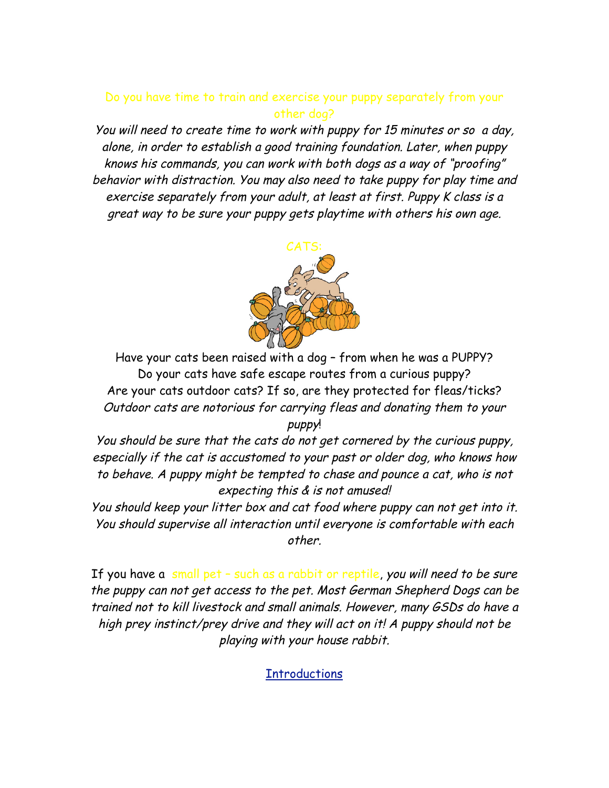## Do you have time to train and exercise your puppy separately from your other dog?

You will need to create time to work with puppy for 15 minutes or so a day, alone, in order to establish a good training foundation. Later, when puppy knows his commands, you can work with both dogs as a way of "proofing" behavior with distraction. You may also need to take puppy for play time and exercise separately from your adult, at least at first. Puppy K class is a great way to be sure your puppy gets playtime with others his own age.



Have your cats been raised with a dog – from when he was a PUPPY? Do your cats have safe escape routes from a curious puppy? Are your cats outdoor cats? If so, are they protected for fleas/ticks? Outdoor cats are notorious for carrying fleas and donating them to your puppy!

You should be sure that the cats do not get cornered by the curious puppy, especially if the cat is accustomed to your past or older dog, who knows how to behave. A puppy might be tempted to chase and pounce a cat, who is not expecting this & is not amused!

You should keep your litter box and cat food where puppy can not get into it. You should supervise all interaction until everyone is comfortable with each other.

If you have a small pet - such as a rabbit or reptile, you will need to be sure the puppy can not get access to the pet. Most German Shepherd Dogs can be trained not to kill livestock and small animals. However, many GSDs do have a high prey instinct/prey drive and they will act on it! A puppy should not be playing with your house rabbit.

**Introductions**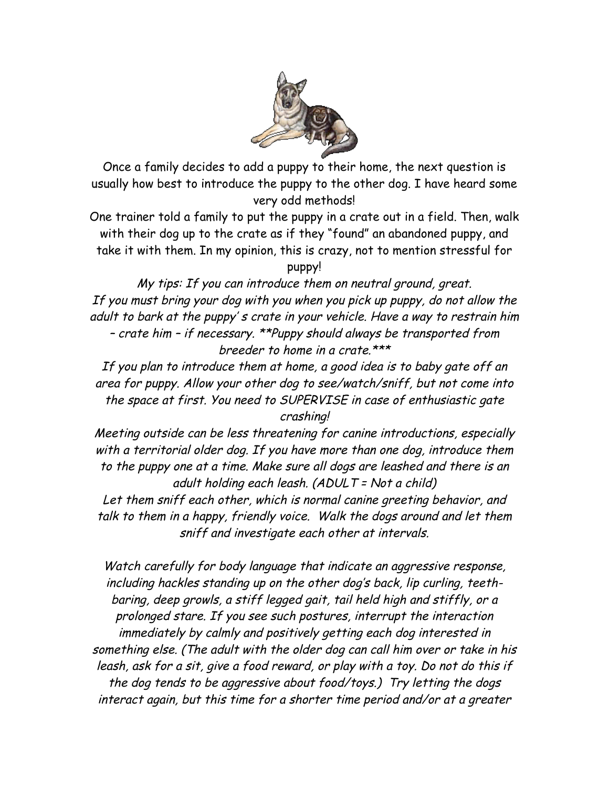

Once a family decides to add a puppy to their home, the next question is usually how best to introduce the puppy to the other dog. I have heard some very odd methods!

One trainer told a family to put the puppy in a crate out in a field. Then, walk with their dog up to the crate as if they "found" an abandoned puppy, and take it with them. In my opinion, this is crazy, not to mention stressful for puppy!

My tips: If you can introduce them on neutral ground, great. If you must bring your dog with you when you pick up puppy, do not allow the adult to bark at the puppy' s crate in your vehicle. Have a way to restrain him – crate him – if necessary. \*\*Puppy should always be transported from breeder to home in a crate.\*\*\*

If you plan to introduce them at home, a good idea is to baby gate off an area for puppy. Allow your other dog to see/watch/sniff, but not come into the space at first. You need to SUPERVISE in case of enthusiastic gate crashing!

Meeting outside can be less threatening for canine introductions, especially with a territorial older dog. If you have more than one dog, introduce them to the puppy one at a time. Make sure all dogs are leashed and there is an adult holding each leash. (ADULT = Not a child)

Let them sniff each other, which is normal canine greeting behavior, and talk to them in a happy, friendly voice. Walk the dogs around and let them sniff and investigate each other at intervals.

Watch carefully for body language that indicate an aggressive response, including hackles standing up on the other dog's back, lip curling, teethbaring, deep growls, a stiff legged gait, tail held high and stiffly, or a prolonged stare. If you see such postures, interrupt the interaction immediately by calmly and positively getting each dog interested in something else. (The adult with the older dog can call him over or take in his leash, ask for a sit, give a food reward, or play with a toy. Do not do this if the dog tends to be aggressive about food/toys.) Try letting the dogs interact again, but this time for a shorter time period and/or at a greater